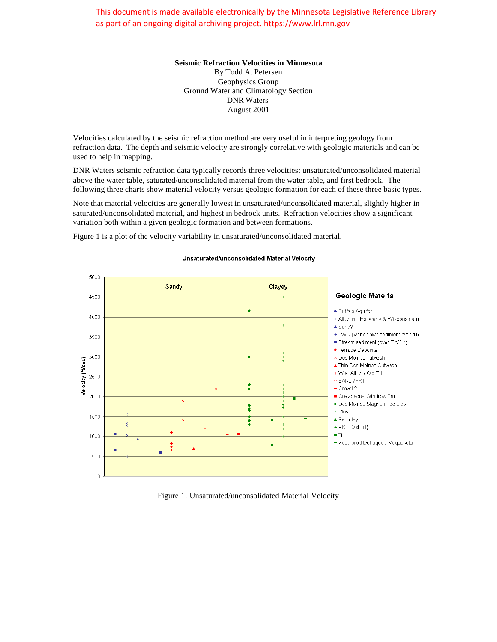This document is made available electronically by the Minnesota Legislative Reference Library as part of an ongoing digital archiving project. https://www.lrl.mn.gov

## **Seismic Refraction Velocities in Minnesota**

By Todd A. Petersen Geophysics Group Ground Water and Climatology Section DNR Waters August 2001

Velocities calculated by the seismic refraction method are very useful in interpreting geology from refraction data. The depth and seismic velocity are strongly correlative with geologic materials and can be used to help in mapping.

DNR Waters seismic refraction data typically records three velocities: unsaturated/unconsolidated material above the water table, saturated/unconsolidated material from the water table, and first bedrock. The following three charts show material velocity versus geologic formation for each of these three basic types.

Note that material velocities are generally lowest in unsaturated/unconsolidated material, slightly higher in saturated/unconsolidated material, and highest in bedrock units. Refraction velocities show a significant variation both within a given geologic formation and between formations.

Figure 1 is a plot of the velocity variability in unsaturated/unconsolidated material.

## 5000 Sandy Clayey Geologic Material 4500  $\bullet$ · Buffalo Aquifer 4000 × Alluvium (Holocene & Wisconsinan) ▲ Sand? + TWO (Windblown sediment over till) 3500 Stream sediment (over TWO?) • Terrace Deposits 3000 × Des Moines outwash Velocity (ft/sec) ▲ Thin Des Moines Outwash + Wis. Alluv. / Old Till 2500 ◆ SAND?PKT  $\ddot{\phantom{a}}$  $-$  Gravel ? 2000 Cretaceous Windrow Fm · Des Moines Stagnant Ice Dep.  $\ddot{\bullet}$  $\pm$ x Clav 1500  $\triangle$  Red clay ÷ + PKT (Old Till)  $\blacksquare$  Till 1000 - weathered Dubuque / Maquoketa  $\Delta$ 500  $\cap$

## Unsaturated/unconsolidated Material Velocity

Figure 1: Unsaturated/unconsolidated Material Velocity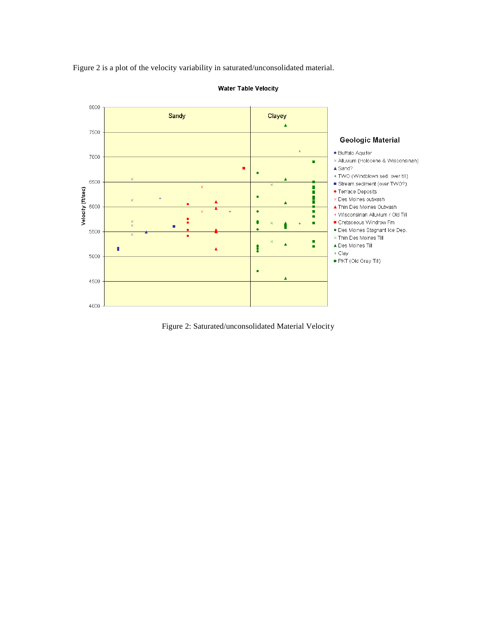Figure 2 is a plot of the velocity variability in saturated/unconsolidated material.



**Water Table Velocity** 

Figure 2: Saturated/unconsolidated Material Velocity